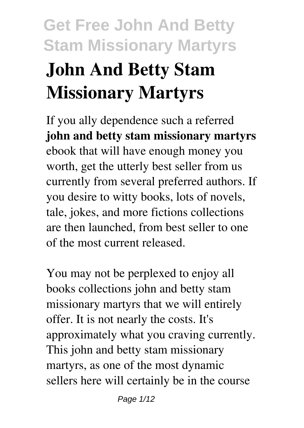# **Get Free John And Betty Stam Missionary Martyrs John And Betty Stam Missionary Martyrs**

If you ally dependence such a referred **john and betty stam missionary martyrs** ebook that will have enough money you worth, get the utterly best seller from us currently from several preferred authors. If you desire to witty books, lots of novels, tale, jokes, and more fictions collections are then launched, from best seller to one of the most current released.

You may not be perplexed to enjoy all books collections john and betty stam missionary martyrs that we will entirely offer. It is not nearly the costs. It's approximately what you craving currently. This john and betty stam missionary martyrs, as one of the most dynamic sellers here will certainly be in the course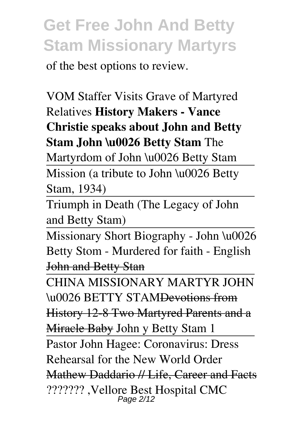of the best options to review.

VOM Staffer Visits Grave of Martyred Relatives **History Makers - Vance Christie speaks about John and Betty Stam John \u0026 Betty Stam** The

Martyrdom of John \u0026 Betty Stam

Mission (a tribute to John \u0026 Betty Stam, 1934)

Triumph in Death (The Legacy of John and Betty Stam)

Missionary Short Biography - John \u0026 Betty Stom - Murdered for faith - English John and Betty Stan

CHINA MISSIONARY MARTYR JOHN \u0026 BETTY STAMDevotions from History 12-8 Two Martyred Parents and a Miracle Baby John y Betty Stam 1 Pastor John Hagee: Coronavirus: Dress Rehearsal for the New World Order Mathew Daddario // Life, Career and Facts ??????? ,Vellore Best Hospital CMC Page 2/12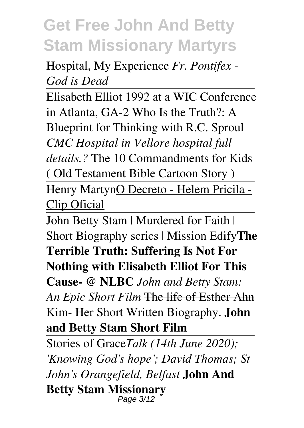Hospital, My Experience *Fr. Pontifex - God is Dead*

Elisabeth Elliot 1992 at a WIC Conference in Atlanta, GA-2 Who Is the Truth?: A Blueprint for Thinking with R.C. Sproul *CMC Hospital in Vellore hospital full details.?* The 10 Commandments for Kids ( Old Testament Bible Cartoon Story ) Henry MartynO Decreto - Helem Pricila - Clip Oficial

John Betty Stam | Murdered for Faith | Short Biography series | Mission Edify**The Terrible Truth: Suffering Is Not For Nothing with Elisabeth Elliot For This Cause- @ NLBC** *John and Betty Stam: An Epic Short Film* The life of Esther Ahn Kim- Her Short Written Biography. **John and Betty Stam Short Film**

Stories of Grace*Talk (14th June 2020); 'Knowing God's hope'; David Thomas; St John's Orangefield, Belfast* **John And Betty Stam Missionary** Page 3/12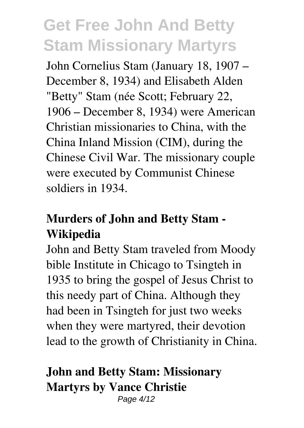John Cornelius Stam (January 18, 1907 – December 8, 1934) and Elisabeth Alden "Betty" Stam (née Scott; February 22, 1906 – December 8, 1934) were American Christian missionaries to China, with the China Inland Mission (CIM), during the Chinese Civil War. The missionary couple were executed by Communist Chinese soldiers in 1934.

### **Murders of John and Betty Stam - Wikipedia**

John and Betty Stam traveled from Moody bible Institute in Chicago to Tsingteh in 1935 to bring the gospel of Jesus Christ to this needy part of China. Although they had been in Tsingteh for just two weeks when they were martyred, their devotion lead to the growth of Christianity in China.

### **John and Betty Stam: Missionary Martyrs by Vance Christie**

Page 4/12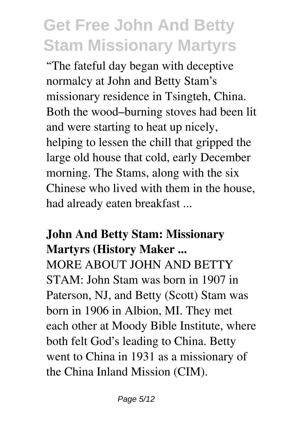"The fateful day began with deceptive normalcy at John and Betty Stam's missionary residence in Tsingteh, China. Both the wood–burning stoves had been lit and were starting to heat up nicely, helping to lessen the chill that gripped the large old house that cold, early December morning. The Stams, along with the six Chinese who lived with them in the house, had already eaten breakfast ...

#### **John And Betty Stam: Missionary Martyrs (History Maker ...**

MORE ABOUT JOHN AND BETTY STAM: John Stam was born in 1907 in Paterson, NJ, and Betty (Scott) Stam was born in 1906 in Albion, MI. They met each other at Moody Bible Institute, where both felt God's leading to China. Betty went to China in 1931 as a missionary of the China Inland Mission (CIM).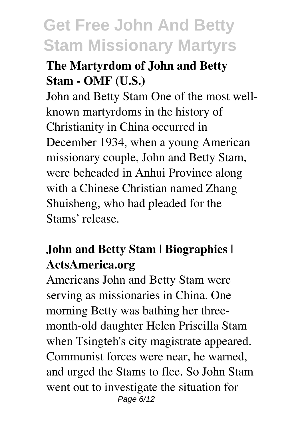### **The Martyrdom of John and Betty Stam - OMF (U.S.)**

John and Betty Stam One of the most wellknown martyrdoms in the history of Christianity in China occurred in December 1934, when a young American missionary couple, John and Betty Stam, were beheaded in Anhui Province along with a Chinese Christian named Zhang Shuisheng, who had pleaded for the Stams' release.

### **John and Betty Stam | Biographies | ActsAmerica.org**

Americans John and Betty Stam were serving as missionaries in China. One morning Betty was bathing her threemonth-old daughter Helen Priscilla Stam when Tsingteh's city magistrate appeared. Communist forces were near, he warned, and urged the Stams to flee. So John Stam went out to investigate the situation for Page 6/12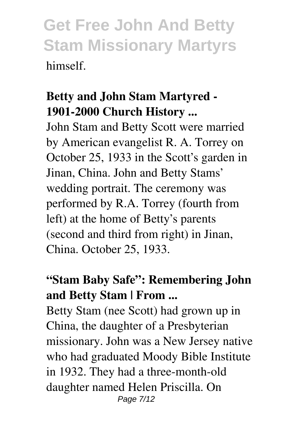### **Betty and John Stam Martyred - 1901-2000 Church History ...**

John Stam and Betty Scott were married by American evangelist R. A. Torrey on October 25, 1933 in the Scott's garden in Jinan, China. John and Betty Stams' wedding portrait. The ceremony was performed by R.A. Torrey (fourth from left) at the home of Betty's parents (second and third from right) in Jinan, China. October 25, 1933.

### **"Stam Baby Safe": Remembering John and Betty Stam | From ...**

Betty Stam (nee Scott) had grown up in China, the daughter of a Presbyterian missionary. John was a New Jersey native who had graduated Moody Bible Institute in 1932. They had a three-month-old daughter named Helen Priscilla. On Page 7/12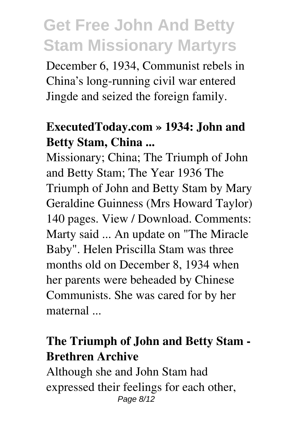December 6, 1934, Communist rebels in China's long-running civil war entered Jingde and seized the foreign family.

#### **ExecutedToday.com » 1934: John and Betty Stam, China ...**

Missionary; China; The Triumph of John and Betty Stam; The Year 1936 The Triumph of John and Betty Stam by Mary Geraldine Guinness (Mrs Howard Taylor) 140 pages. View / Download. Comments: Marty said ... An update on "The Miracle Baby". Helen Priscilla Stam was three months old on December 8, 1934 when her parents were beheaded by Chinese Communists. She was cared for by her maternal ...

#### **The Triumph of John and Betty Stam - Brethren Archive**

Although she and John Stam had expressed their feelings for each other, Page 8/12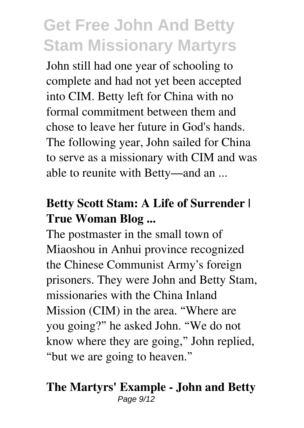John still had one year of schooling to complete and had not yet been accepted into CIM. Betty left for China with no formal commitment between them and chose to leave her future in God's hands. The following year, John sailed for China to serve as a missionary with CIM and was able to reunite with Betty—and an ...

### **Betty Scott Stam: A Life of Surrender | True Woman Blog ...**

The postmaster in the small town of Miaoshou in Anhui province recognized the Chinese Communist Army's foreign prisoners. They were John and Betty Stam, missionaries with the China Inland Mission (CIM) in the area. "Where are you going?" he asked John. "We do not know where they are going," John replied, "but we are going to heaven."

#### **The Martyrs' Example - John and Betty** Page  $9/12$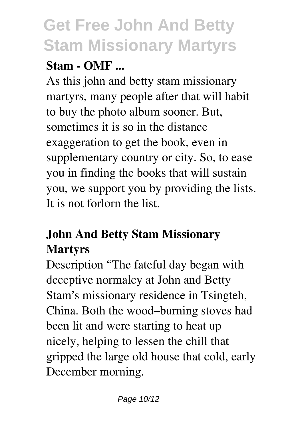### **Stam - OMF ...**

As this john and betty stam missionary martyrs, many people after that will habit to buy the photo album sooner. But, sometimes it is so in the distance exaggeration to get the book, even in supplementary country or city. So, to ease you in finding the books that will sustain you, we support you by providing the lists. It is not forlorn the list.

### **John And Betty Stam Missionary Martyrs**

Description "The fateful day began with deceptive normalcy at John and Betty Stam's missionary residence in Tsingteh, China. Both the wood–burning stoves had been lit and were starting to heat up nicely, helping to lessen the chill that gripped the large old house that cold, early December morning.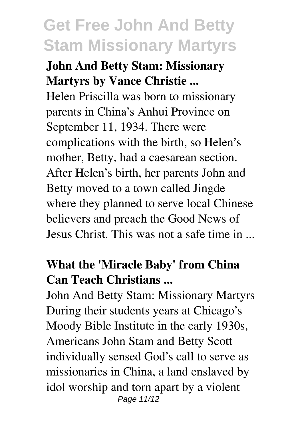### **John And Betty Stam: Missionary Martyrs by Vance Christie ...**

Helen Priscilla was born to missionary parents in China's Anhui Province on September 11, 1934. There were complications with the birth, so Helen's mother, Betty, had a caesarean section. After Helen's birth, her parents John and Betty moved to a town called Jingde where they planned to serve local Chinese believers and preach the Good News of Jesus Christ. This was not a safe time in ...

#### **What the 'Miracle Baby' from China Can Teach Christians ...**

John And Betty Stam: Missionary Martyrs During their students years at Chicago's Moody Bible Institute in the early 1930s, Americans John Stam and Betty Scott individually sensed God's call to serve as missionaries in China, a land enslaved by idol worship and torn apart by a violent Page 11/12